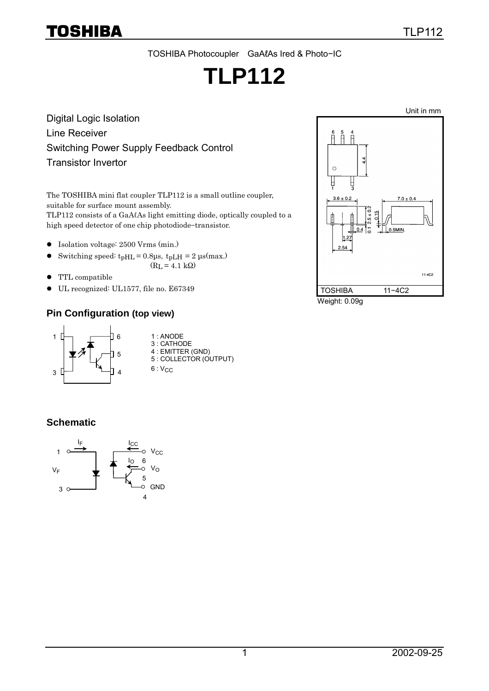# TOSHIBA

# **TLP112**

Digital Logic Isolation Line Receiver Switching Power Supply Feedback Control Transistor Invertor

The TOSHIBA mini flat coupler TLP112 is a small outline coupler, suitable for surface mount assembly. TLP112 consists of a GaAℓAs light emitting diode, optically coupled to a high speed detector of one chip photodiode−transistor.

- -Isolation voltage: 2500 Vrms (min.)
- $\bullet$ Switching speed:  $t$ <sub>pHL</sub> = 0.8<sub>us</sub>,  $t$ <sub>pLH</sub> = 2  $\mu$ s(max.)
	- $(RL = 4.1 k\Omega)$
- $\bullet$  TTL compatible
- $\bullet$  UL recognized: UL1577, file no. E67349

#### **Pin Configuration (top view)**



#### **Schematic**





Weight: 0.09g

TLP112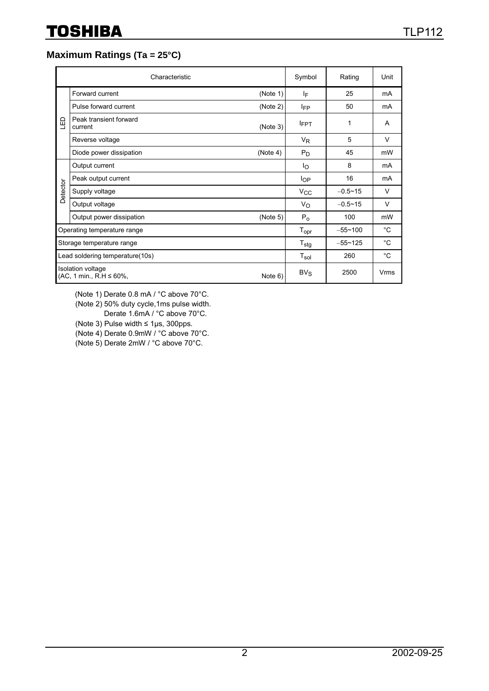## **Maximum Ratings (Ta = 25°C)**

|                                                   | Characteristic                    | Symbol   | Rating                      | Unit        |              |
|---------------------------------------------------|-----------------------------------|----------|-----------------------------|-------------|--------------|
| 山                                                 | Forward current                   | (Note 1) | IF                          | 25          | mA           |
|                                                   | Pulse forward current             | (Note 2) | <b>IFP</b>                  | 50          | mA           |
|                                                   | Peak transient forward<br>current | (Note 3) | <b>IFPT</b>                 | 1           | A            |
|                                                   | Reverse voltage                   |          | $V_{R}$                     | 5           | $\vee$       |
|                                                   | Diode power dissipation           | (Note 4) | $P_D$                       | 45          | mW           |
| Detector                                          | Output current                    |          | Ιo                          | 8           | mA           |
|                                                   | Peak output current               |          | $I_{OP}$                    | 16          | mA           |
|                                                   | Supply voltage                    |          | <b>V<sub>CC</sub></b>       | $-0.5 - 15$ | V            |
|                                                   | Output voltage                    |          | Vo                          | $-0.5 - 15$ | V            |
|                                                   | Output power dissipation          | (Note 5) | $P_0$                       | 100         | mW           |
|                                                   | Operating temperature range       |          |                             | $-55 - 100$ | $^{\circ}$ C |
| Storage temperature range                         |                                   |          | $T_{\text{stg}}$            | $-55 - 125$ | $^{\circ}C$  |
|                                                   | Lead soldering temperature(10s)   |          | $\mathsf{T}_{\mathsf{sol}}$ | 260         | $^{\circ}$ C |
| Isolation voltage<br>$(AC, 1 min., R.H \le 60\%,$ |                                   | Note 6)  | $BV_S$                      | 2500        | Vrms         |

(Note 1) Derate 0.8 mA / °C above 70°C.

(Note 2) 50% duty cycle,1ms pulse width.

Derate 1.6mA / °C above 70°C.

(Note 3) Pulse width ≤ 1µs, 300pps.

(Note 4) Derate 0.9mW / °C above 70°C.

(Note 5) Derate 2mW / °C above 70°C.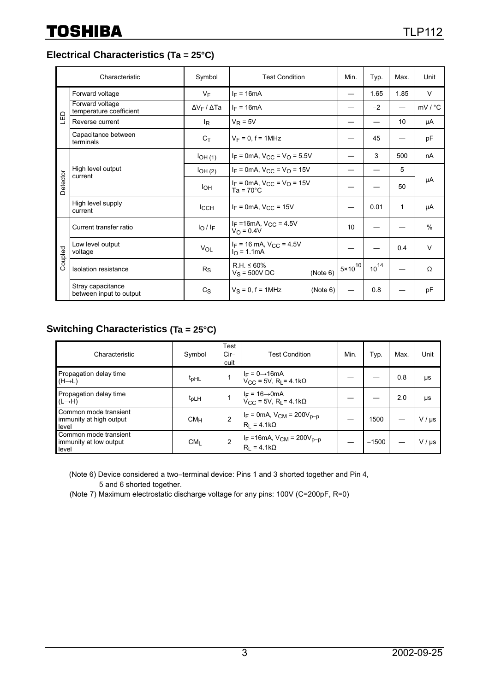**Electrical Characteristics (Ta = 25°C)**

| Characteristic |                                              | Symbol                    | <b>Test Condition</b>                                          | Min.                | Typ.      | Max. | Unit               |  |
|----------------|----------------------------------------------|---------------------------|----------------------------------------------------------------|---------------------|-----------|------|--------------------|--|
| $\Xi$          | Forward voltage                              | $V_{\text{F}}$            | $I_F = 16mA$                                                   |                     | 1.65      | 1.85 | $\vee$             |  |
|                | Forward voltage<br>temperature coefficient   | $\Delta V_F / \Delta T a$ | $I_F = 16mA$                                                   |                     | $-2$      |      | $mV / {}^{\circ}C$ |  |
|                | Reverse current                              | l <sub>R</sub>            | $V_R = 5V$                                                     |                     |           | 10   | μA                 |  |
|                | Capacitance between<br>terminals             | $C_T$                     | $V_F = 0$ , f = 1MHz                                           |                     | 45        |      | pF                 |  |
| Detector       | High level output<br>current                 | $I$ OH $(1)$              | $I_F = 0$ mA, $V_{CC} = V_O = 5.5V$                            |                     | 3         | 500  | nA                 |  |
|                |                                              | IOH(2)                    | $I_F = 0$ mA, $V_{CC} = V_O = 15V$                             |                     |           | 5    |                    |  |
|                |                                              | Iон                       | $I_F = 0$ mA, $V_{CC} = V_O = 15V$<br>$Ta = 70^{\circ}C$       |                     |           | 50   | μA                 |  |
|                | High level supply<br>current                 | <b>I</b> CCH              | $I_F = 0$ mA, $V_{CC} = 15V$                                   |                     | 0.01      | 1    | μA                 |  |
|                | Current transfer ratio                       | $I_0/I_F$                 | $I_F = 16 \text{mA}$ , $V_{CC} = 4.5 \text{V}$<br>$V_O = 0.4V$ | 10                  |           |      | $\%$               |  |
| Coupled        | Low level output<br>voltage                  | VOL                       | $I_F$ = 16 mA, $V_{CC}$ = 4.5V<br>$I_{\Omega}$ = 1.1mA         |                     |           | 0.4  | $\vee$             |  |
|                | Isolation resistance                         | R <sub>S</sub>            | $R.H. \leq 60\%$<br>(Note 6)<br>$V_S = 500V$ DC                | $15 \times 10^{10}$ | $10^{14}$ |      | Ω                  |  |
|                | Stray capacitance<br>between input to output | $C_S$                     | $V_S = 0$ , f = 1MHz<br>(Note 6)                               |                     | 0.8       |      | рF                 |  |

## **Switching Characteristics (Ta = 25°C)**

| Characteristic                                            | Symbol           | Test<br>$Cir-$<br>cuit | <b>Test Condition</b>                                                              | Min. | Typ.    | Max. | Unit        |
|-----------------------------------------------------------|------------------|------------------------|------------------------------------------------------------------------------------|------|---------|------|-------------|
| Propagation delay time<br>$(H \rightarrow L)$             | t <sub>pHL</sub> |                        | $I_F = 0 \rightarrow 16 \text{mA}$<br>V <sub>CC</sub> = 5V, R <sub>L</sub> = 4.1kΩ |      |         | 0.8  | μs          |
| Propagation delay time<br>$(L \rightarrow H)$             | t <sub>pLH</sub> |                        | $I_F = 16 \rightarrow 0$ mA<br>V <sub>CC</sub> = 5V, R <sub>L</sub> = 4.1kΩ        |      |         | 2.0  | μs          |
| Common mode transient<br>immunity at high output<br>level | CM <sub>H</sub>  | $\mathfrak{p}$         | $I_F = 0$ mA, $V_{CM} = 200V_{p-p}$<br>$R_1 = 4.1k\Omega$                          |      | 1500    |      | $V / \mu s$ |
| Common mode transient<br>immunity at low output<br>level  | CM <sub>1</sub>  |                        | I <sub>F</sub> =16mA, $V_{CM}$ = 200 $V_{p-p}$<br>$R_1 = 4.1k\Omega$               |      | $-1500$ |      | $V / \mu s$ |

(Note 6) Device considered a two-terminal device: Pins 1 and 3 shorted together and Pin 4, 5 and 6 shorted together.

(Note 7) Maximum electrostatic discharge voltage for any pins: 100V (C=200pF, R=0)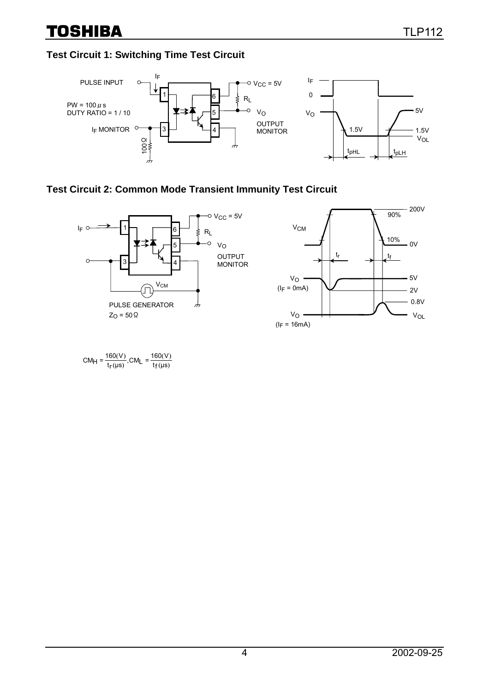## **Test Circuit 1: Switching Time Test Circuit**



### **Test Circuit 2: Common Mode Transient Immunity Test Circuit**



 $(\mu s)$  $(V)$  $(\mu s)$  $(V)$  $CM_{\text{H}} = \frac{160 \text{(V)}}{t_{\text{f}} (\text{\mu s})}$ ,CM<sub>L</sub> =  $\frac{160 \text{(V)}}{t_{\text{f}} (\text{\mu s})}$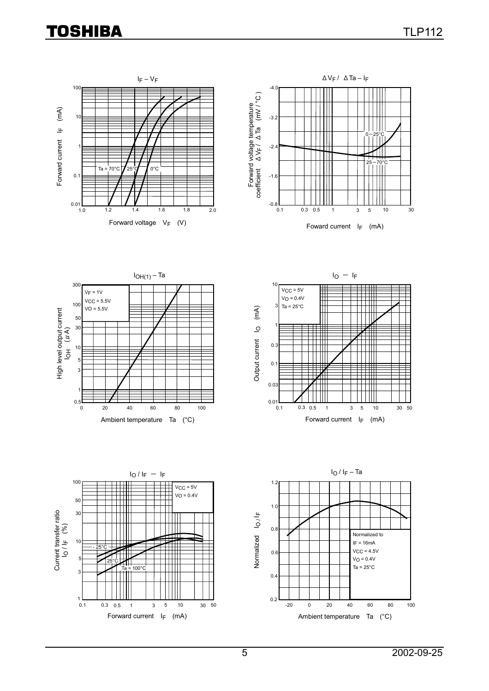# **TOSHIBA**





Foward current  $I_F$  (mA)







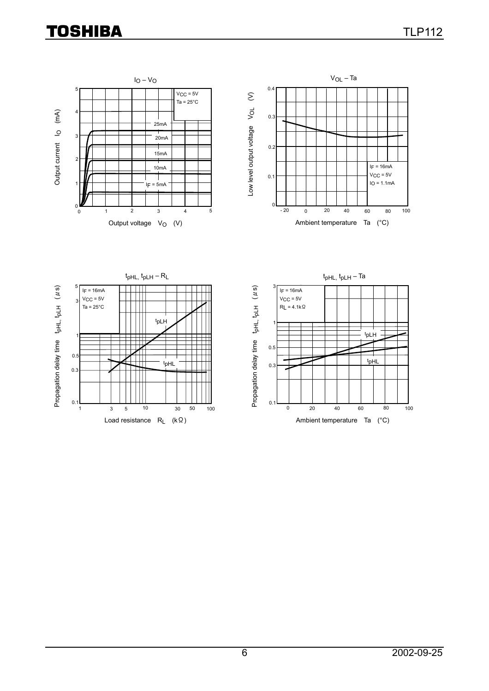# **TOSHIBA**